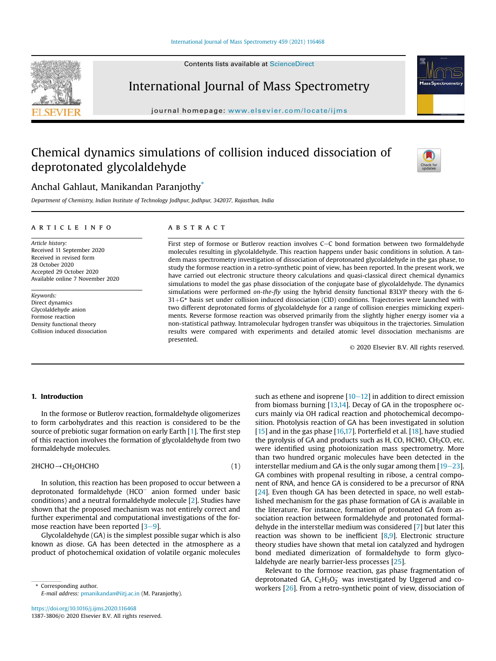#### International Journal of Mass Spectrometry 459 (2021) 116468

Contents lists available at ScienceDirect



International Journal of Mass Spectrometry

journal homepage: www.elsevier.com/locate/ijms

# Chemical dynamics simulations of collision induced dissociation of deprotonated glycolaldehyde



## Anchal Gahlaut, Manikandan Paranjothy<sup>\*</sup>

*Department of Chemistry, Indian Institute of Technology Jodhpur, Jodhpur, 342037, Rajasthan, India*

#### article info

*Article history:* Received 11 September 2020 Received in revised form 28 October 2020 Accepted 29 October 2020 Available online 7 November 2020

*Keywords:* Direct dynamics Glycolaldehyde anion Formose reaction Density functional theory Collision induced dissociation

#### **ABSTRACT**

First step of formose or Butlerov reaction involves C-C bond formation between two formaldehyde molecules resulting in glycolaldehyde. This reaction happens under basic conditions in solution. A tandem mass spectrometry investigation of dissociation of deprotonated glycolaldehyde in the gas phase, to study the formose reaction in a retro-synthetic point of view, has been reported. In the present work, we have carried out electronic structure theory calculations and quasi-classical direct chemical dynamics simulations to model the gas phase dissociation of the conjugate base of glycolaldehyde. The dynamics simulations were performed *on-the-*fl*y* using the hybrid density functional B3LYP theory with the 6-  $31 + G^*$  basis set under collision induced dissociation (CID) conditions. Trajectories were launched with two different deprotonated forms of glycolaldehyde for a range of collision energies mimicking experiments. Reverse formose reaction was observed primarily from the slightly higher energy isomer via a non-statistical pathway. Intramolecular hydrogen transfer was ubiquitous in the trajectories. Simulation results were compared with experiments and detailed atomic level dissociation mechanisms are presented.

© 2020 Elsevier B.V. All rights reserved.

#### 1. Introduction

In the formose or Butlerov reaction, formaldehyde oligomerizes to form carbohydrates and this reaction is considered to be the source of prebiotic sugar formation on early Earth [1]. The first step of this reaction involves the formation of glycolaldehyde from two formaldehyde molecules.

#### $2HCHO \rightarrow CH_2OHCHO$  (1)

In solution, this reaction has been proposed to occur between a deprotonated formaldehyde (HCO- anion formed under basic conditions) and a neutral formaldehyde molecule [2]. Studies have shown that the proposed mechanism was not entirely correct and further experimental and computational investigations of the formose reaction have been reported  $[3-9]$ .

Glycolaldehyde (GA) is the simplest possible sugar which is also known as diose. GA has been detected in the atmosphere as a product of photochemical oxidation of volatile organic molecules

*E-mail address:* pmanikandan@iitj.ac.in (M. Paranjothy).

such as ethene and isoprene  $[10-12]$  in addition to direct emission from biomass burning [13,14]. Decay of GA in the troposphere occurs mainly via OH radical reaction and photochemical decomposition. Photolysis reaction of GA has been investigated in solution [15] and in the gas phase [16,17]. Porterfield et al. [18], have studied the pyrolysis of GA and products such as H, CO, HCHO,  $CH<sub>2</sub>CO$ , etc. were identified using photoionization mass spectrometry. More than two hundred organic molecules have been detected in the interstellar medium and GA is the only sugar among them  $[19-23]$ . GA combines with propenal resulting in ribose, a central component of RNA, and hence GA is considered to be a precursor of RNA [24]. Even though GA has been detected in space, no well established mechanism for the gas phase formation of GA is available in the literature. For instance, formation of protonated GA from association reaction between formaldehyde and protonated formaldehyde in the interstellar medium was considered [7] but later this reaction was shown to be inefficient [8,9]. Electronic structure theory studies have shown that metal ion catalyzed and hydrogen bond mediated dimerization of formaldehyde to form glycolaldehyde are nearly barrier-less processes [25].

Relevant to the formose reaction, gas phase fragmentation of deprotonated GA,  $C_2H_3O_2^-$  was investigated by Uggerud and coworkers [26]. From a retro-synthetic point of view, dissociation of \* Corresponding author.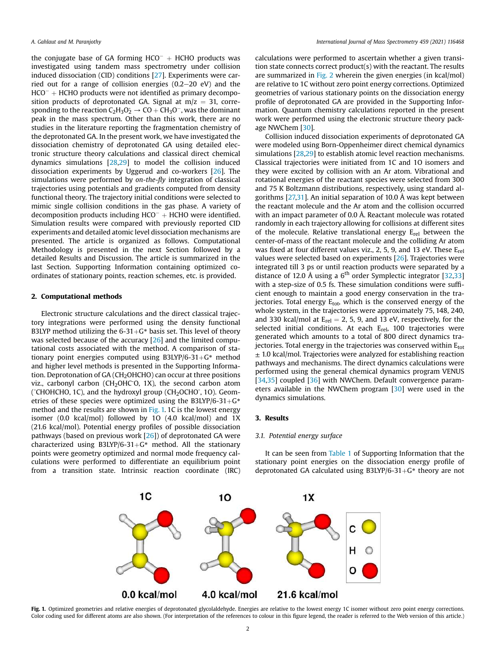the conjugate base of GA forming  $HCO^{-}$  + HCHO products was investigated using tandem mass spectrometry under collision induced dissociation (CID) conditions [27]. Experiments were carried out for a range of collision energies  $(0.2-20 \text{ eV})$  and the  $HCO^{-}$  + HCHO products were not identified as primary decomposition products of deprotonated GA. Signal at  $m/z = 31$ , corresponding to the reaction  $C_2H_3O_2^{\bullet} \rightarrow CO + CH_3O^{\bullet}$ , was the dominant peak in the mass spectrum. Other than this work, there are no studies in the literature reporting the fragmentation chemistry of the deprotonated GA. In the present work, we have investigated the dissociation chemistry of deprotonated GA using detailed electronic structure theory calculations and classical direct chemical dynamics simulations [28,29] to model the collision induced dissociation experiments by Uggerud and co-workers [26]. The simulations were performed by *on-the-*fl*y* integration of classical trajectories using potentials and gradients computed from density functional theory. The trajectory initial conditions were selected to mimic single collision conditions in the gas phase. A variety of decomposition products including  $HCO^{-} + HCHO$  were identified. Simulation results were compared with previously reported CID experiments and detailed atomic level dissociation mechanisms are presented. The article is organized as follows. Computational Methodology is presented in the next Section followed by a detailed Results and Discussion. The article is summarized in the last Section. Supporting Information containing optimized coordinates of stationary points, reaction schemes, etc. is provided.

#### 2. Computational methods

Electronic structure calculations and the direct classical trajectory integrations were performed using the density functional B3LYP method utilizing the  $6-31+G*$  basis set. This level of theory was selected because of the accuracy [26] and the limited computational costs associated with the method. A comparison of stationary point energies computed using B3LYP/6-31+ $G^*$  method and higher level methods is presented in the Supporting Information. Deprotonation of  $GA$  (CH<sub>2</sub>OHCHO) can occur at three positions viz., carbonyl carbon ( $CH<sub>2</sub>OHC<sub>0</sub>$ , 1X), the second carbon atom (<sup>-</sup>CHOHCHO, 1C), and the hydroxyl group (CH<sub>2</sub>OCHO<sup>-</sup>, 1O). Geometries of these species were optimized using the B3LYP/6-31+ $G^*$ method and the results are shown in Fig. 1.1C is the lowest energy isomer (0.0 kcal/mol) followed by 1O (4.0 kcal/mol) and 1X (21.6 kcal/mol). Potential energy profiles of possible dissociation pathways (based on previous work [26]) of deprotonated GA were characterized using B3LYP/6-31+ $G^*$  method. All the stationary points were geometry optimized and normal mode frequency calculations were performed to differentiate an equilibrium point from a transition state. Intrinsic reaction coordinate (IRC) calculations were performed to ascertain whether a given transition state connects correct product(s) with the reactant. The results are summarized in Fig. 2 wherein the given energies (in kcal/mol) are relative to 1C without zero point energy corrections. Optimized geometries of various stationary points on the dissociation energy profile of deprotonated GA are provided in the Supporting Information. Quantum chemistry calculations reported in the present work were performed using the electronic structure theory package NWChem [30].

Collision induced dissociation experiments of deprotonated GA were modeled using Born-Oppenheimer direct chemical dynamics simulations [28,29] to establish atomic level reaction mechanisms. Classical trajectories were initiated from 1C and 1O isomers and they were excited by collision with an Ar atom. Vibrational and rotational energies of the reactant species were selected from 300 and 75 K Boltzmann distributions, respectively, using standard algorithms [27,31]. An initial separation of 10.0 Å was kept between the reactant molecule and the Ar atom and the collision occurred with an impact parameter of 0.0 Å. Reactant molecule was rotated randomly in each trajectory allowing for collisions at different sites of the molecule. Relative translational energy  $E_{rel}$  between the center-of-mass of the reactant molecule and the colliding Ar atom was fixed at four different values viz., 2, 5, 9, and 13 eV. These  $E_{rel}$ values were selected based on experiments [26]. Trajectories were integrated till 3 ps or until reaction products were separated by a distance of 12.0 Å using a  $6<sup>th</sup>$  order Symplectic integrator [32,33] with a step-size of 0.5 fs. These simulation conditions were sufficient enough to maintain a good energy conservation in the trajectories. Total energy  $E_{tot}$ , which is the conserved energy of the whole system, in the trajectories were approximately 75, 148, 240, and 330 kcal/mol at  $E_{rel} = 2$ , 5, 9, and 13 eV, respectively, for the selected initial conditions. At each E<sub>rel</sub>, 100 trajectories were generated which amounts to a total of 800 direct dynamics trajectories. Total energy in the trajectories was conserved within  $E_{tot}$  $\pm$  1.0 kcal/mol. Trajectories were analyzed for establishing reaction pathways and mechanisms. The direct dynamics calculations were performed using the general chemical dynamics program VENUS [34,35] coupled [36] with NWChem. Default convergence parameters available in the NWChem program [30] were used in the dynamics simulations.

#### 3. Results

#### *3.1. Potential energy surface*

It can be seen from Table 1 of Supporting Information that the stationary point energies on the dissociation energy profile of deprotonated GA calculated using B3LYP/6-31+ $G^*$  theory are not



Fig. 1. Optimized geometries and relative energies of deprotonated glycolaldehyde. Energies are relative to the lowest energy 1C isomer without zero point energy corrections. Color coding used for different atoms are also shown. (For interpretation of the references to colour in this figure legend, the reader is referred to the Web version of this article.)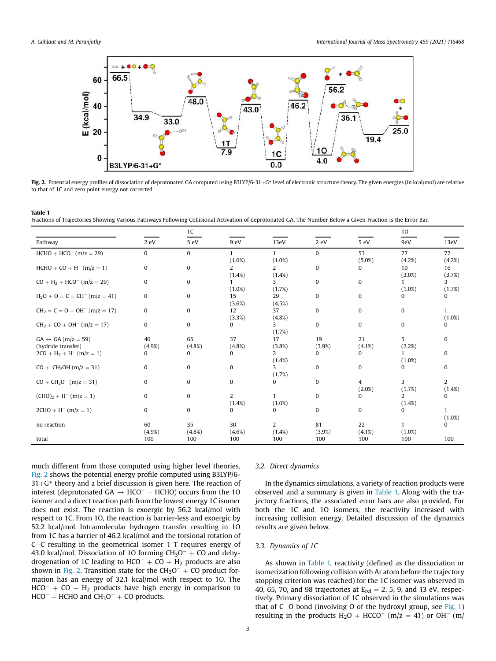

Fig. 2. Potential energy profiles of dissociation of deprotonated GA computed using B3LYP/6-31+G\* level of electronic structure theory. The given energies (in kcal/mol) are relative to that of 1C and zero point energy not corrected.

#### Table 1

Fractions of Trajectories Showing Various Pathways Following Collisional Activation of deprotonated GA. The Number Below a Given Fraction is the Error Bar.

|                                                          |               | 1 <sup>C</sup>  |                 |                          |               |                | 10             |                             |
|----------------------------------------------------------|---------------|-----------------|-----------------|--------------------------|---------------|----------------|----------------|-----------------------------|
| Pathway                                                  | 2 eV          | 5 eV            | 9 eV            | 13eV                     | 2 eV          | 5 eV           | 9eV            | 13eV                        |
| $HCHO + HCO^{-} (m/z = 29)$                              | $\mathbf{0}$  | 0               | 1               | 1                        | $\Omega$      | 53             | 77             | 77                          |
| $HCHO + CO + H^{-} (m/z = 1)$                            | $\mathbf{0}$  | 0               | (1.0%)<br>2     | (1.0%)<br>$\overline{2}$ | $\mathbf{0}$  | $(5.0\%)$<br>0 | (4.2%)<br>10   | (4.2%)<br>16                |
| $CO + H2 + HCO-$ (m/z = 29)                              | $\mathbf{0}$  | $\bf{0}$        | (1.4%)          | $(1.4\%)$<br>3           | $\mathbf{0}$  | 0              | $(3.0\%)$      | (3.7%)<br>3                 |
| $H_2O + O = C = CH^- (m/z = 41)$                         | $\mathbf{0}$  | 0               | (1.0%)<br>15    | (1.7%)<br>29             | $\mathbf{0}$  | 0              | $(1.0\%)$<br>0 | (1.7%)<br>0                 |
| $CH2 = C = O + OH- (m/z = 17)$                           | $\mathbf{0}$  | 0               | (3.6%)<br>12    | (4.5%)<br>37             | $\mathbf{0}$  | 0              | $\bf{0}$       |                             |
|                                                          | $\Omega$      | 0               | (3.3%)<br>0     | (4.8%)<br>3              | $\mathbf{0}$  | 0              | $\bf{0}$       | $(1.0\%)$<br>0              |
| $CH2 + CO + OH-$ (m/z = 17)                              |               |                 |                 | (1.7%)                   |               |                |                |                             |
| $GA \leftrightarrow GA (m/z = 59)$<br>(hydride transfer) | 40<br>(4.9%)  | 65<br>$(4.8\%)$ | 37<br>$(4.8\%)$ | 17<br>(3.8%)             | 19<br>(3.9%)  | 21<br>(4.1%)   | 5<br>(2.2%)    | 0                           |
| $2CO + H2 + H-$ (m/z = 1)                                | $\Omega$      | $\Omega$        | 0               | 2<br>$(1.4\%)$           | 0             | 0              | (1.0%)         | 0                           |
| $CO + ^-CH_2OH$ (m/z = 31)                               | $\mathbf{0}$  | 0               | $\bf{0}$        | 3<br>(1.7%)              | $\mathbf{0}$  | 0              | 0              | 0                           |
| $CO + CH3O-$ (m/z = 31)                                  | $\Omega$      | 0               | $\bf{0}$        | 0                        | $\mathbf{0}$  | 4<br>(2.0%)    | 3<br>(1.7%)    | $\overline{2}$<br>$(1.4\%)$ |
| $(CHO)2 + H-$ (m/z = 1)                                  | $\mathbf{0}$  | 0               | 2               | 1                        | $\mathbf{0}$  | 0              | 2              | 0                           |
| $2CHO + H^{-} (m/z = 1)$                                 | $\Omega$      | 0               | (1.4%)<br>0     | (1.0%)<br>0              | $\mathbf{0}$  | 0              | (1.4%)<br>0    |                             |
| no reaction                                              | 60            | 35              | 30              | $\overline{2}$           | 81            | 22             |                | $(1.0\%)$<br>0              |
| total                                                    | (4.9%)<br>100 | (4.8%)<br>100   | (4.6%)<br>100   | $(1.4\%)$<br>100         | (3.9%)<br>100 | (4.1%)<br>100  | (1.0%)<br>100  | 100                         |

much different from those computed using higher level theories. Fig. 2 shows the potential energy profile computed using B3LYP/6-  $31+G^*$  theory and a brief discussion is given here. The reaction of interest (deprotonated  $GA \rightarrow HCO^{-} + HCHO$ ) occurs from the 10 isomer and a direct reaction path from the lowest energy 1C isomer does not exist. The reaction is exoergic by 56.2 kcal/mol with respect to 1C. From 1O, the reaction is barrier-less and exoergic by 52.2 kcal/mol. Intramolecular hydrogen transfer resulting in 1O from 1C has a barrier of 46.2 kcal/mol and the torsional rotation of  $C-C$  resulting in the geometrical isomer 1 T requires energy of 43.0 kcal/mol. Dissociation of 10 forming  $CH_3O^- + CO$  and dehydrogenation of 1C leading to  $HCO^{-} + CO + H_{2}$  products are also shown in Fig. 2. Transition state for the  $CH_3O^- + CO$  product formation has an energy of 32.1 kcal/mol with respect to 1O. The  $HCO^{-} + CO + H<sub>2</sub>$  products have high energy in comparison to  $HCO^{-}$  + HCHO and  $CH<sub>3</sub>O^{-}$  + CO products.

#### *3.2. Direct dynamics*

In the dynamics simulations, a variety of reaction products were observed and a summary is given in Table 1. Along with the trajectory fractions, the associated error bars are also provided. For both the 1C and 1O isomers, the reactivity increased with increasing collision energy. Detailed discussion of the dynamics results are given below.

#### *3.3. Dynamics of 1C*

As shown in Table 1, reactivity (defined as the dissociation or isomerization following collision with Ar atom before the trajectory stopping criterion was reached) for the 1C isomer was observed in 40, 65, 70, and 98 trajectories at  $E_{rel} = 2$ , 5, 9, and 13 eV, respectively. Primary dissociation of 1C observed in the simulations was that of  $C$ –O bond (involving O of the hydroxyl group, see Fig. 1) resulting in the products  $H_2O + HCCO^-$  (m/z = 41) or OH<sup>-</sup> (m/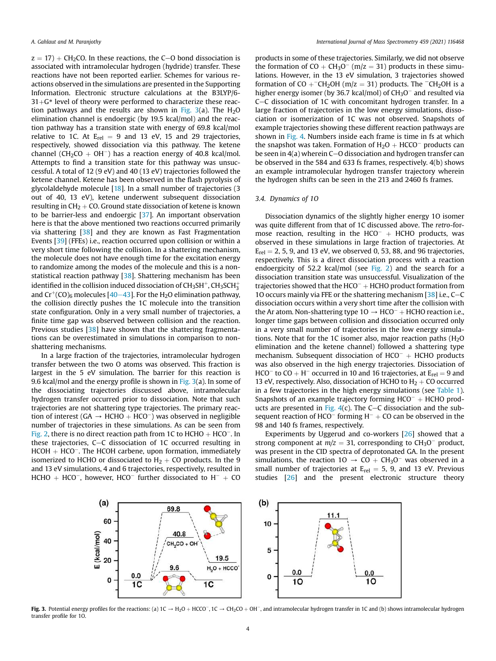$z = 17$ ) + CH<sub>2</sub>CO. In these reactions, the C-O bond dissociation is associated with intramolecular hydrogen (hydride) transfer. These reactions have not been reported earlier. Schemes for various reactions observed in the simulations are presented in the Supporting Information. Electronic structure calculations at the B3LYP/6-  $31 + G^*$  level of theory were performed to characterize these reaction pathways and the results are shown in Fig.  $3(a)$ . The H<sub>2</sub>O elimination channel is endoergic (by 19.5 kcal/mol) and the reaction pathway has a transition state with energy of 69.8 kcal/mol relative to 1C. At  $E_{rel} = 9$  and 13 eV, 15 and 29 trajectories, respectively, showed dissociation via this pathway. The ketene channel (CH<sub>2</sub>CO + OH<sup>-</sup>) has a reaction energy of 40.8 kcal/mol. Attempts to find a transition state for this pathway was unsuccessful. A total of 12 (9 eV) and 40 (13 eV) trajectories followed the ketene channel. Ketene has been observed in the flash pyrolysis of glycolaldehyde molecule [18]. In a small number of trajectories (3 out of 40, 13 eV), ketene underwent subsequent dissociation resulting in  $CH<sub>2</sub> + CO$ . Ground state dissociation of ketene is known to be barrier-less and endoergic [37]. An important observation here is that the above mentioned two reactions occurred primarily via shattering [38] and they are known as Fast Fragmentation Events [39] (FFEs) i.e., reaction occurred upon collision or within a very short time following the collision. In a shattering mechanism, the molecule does not have enough time for the excitation energy to randomize among the modes of the molecule and this is a nonstatistical reaction pathway [38]. Shattering mechanism has been identified in the collision induced dissociation of CH3SH $^+$ , CH3SCH $_3^+$ and  $\rm Cr^+(CO)_6$  molecules [40–43]. For the H<sub>2</sub>O elimination pathway, the collision directly pushes the 1C molecule into the transition state configuration. Only in a very small number of trajectories, a finite time gap was observed between collision and the reaction. Previous studies [38] have shown that the shattering fragmentations can be overestimated in simulations in comparison to nonshattering mechanisms.

In a large fraction of the trajectories, intramolecular hydrogen transfer between the two O atoms was observed. This fraction is largest in the 5 eV simulation. The barrier for this reaction is 9.6 kcal/mol and the energy profile is shown in  $Fig. 3(a)$ . In some of the dissociating trajectories discussed above, intramolecular hydrogen transfer occurred prior to dissociation. Note that such trajectories are not shattering type trajectories. The primary reaction of interest (GA  $\rightarrow$  HCHO + HCO<sup>-</sup>) was observed in negligible number of trajectories in these simulations. As can be seen from Fig. 2, there is no direct reaction path from 1C to  $HCHO + HCO^{-}$ . In these trajectories,  $C-C$  dissociation of 1C occurred resulting in  $HCOH + HCO^{-}$ . The HCOH carbene, upon formation, immediately isomerized to HCHO or dissociated to  $H_2 + CO$  products. In the 9 and 13 eV simulations, 4 and 6 trajectories, respectively, resulted in HCHO + HCO<sup>-</sup>, however, HCO<sup>-</sup> further dissociated to  $H^- + CO$ 

products in some of these trajectories. Similarly, we did not observe the formation of  $CO + CH_3O^-$  (m/z = 31) products in these simulations. However, in the 13 eV simulation, 3 trajectories showed formation of  $CO +CH_2OH$  (m/z = 31) products. The  $CH_2OH$  is a higher energy isomer (by 36.7 kcal/mol) of  $CH_3O^-$  and resulted via C-C dissociation of 1C with concomitant hydrogen transfer. In a large fraction of trajectories in the low energy simulations, dissociation or isomerization of 1C was not observed. Snapshots of example trajectories showing these different reaction pathways are shown in Fig. 4. Numbers inside each frame is time in fs at which the snapshot was taken. Formation of  $H_2O + HCCO^-$  products can be seen in  $4(a)$  wherein C-O dissociation and hydrogen transfer can be observed in the 584 and 633 fs frames, respectively. 4(b) shows an example intramolecular hydrogen transfer trajectory wherein the hydrogen shifts can be seen in the 213 and 2460 fs frames.

#### *3.4. Dynamics of 1O*

Dissociation dynamics of the slightly higher energy 1O isomer was quite different from that of 1C discussed above. The *retro*-formose reaction, resulting in the  $HCO^{-}$  + HCHO products, was observed in these simulations in large fraction of trajectories. At  $E_{rel} = 2$ , 5, 9, and 13 eV, we observed 0, 53, 88, and 96 trajectories, respectively. This is a direct dissociation process with a reaction endoergicity of 52.2 kcal/mol (see Fig. 2) and the search for a dissociation transition state was unsuccessful. Visualization of the trajectories showed that the  $HCO^{-} + HCHO$  product formation from 1O occurs mainly via FFE or the shattering mechanism  $[38]$  i.e., C-C dissociation occurs within a very short time after the collision with the Ar atom. Non-shattering type  $10 \rightarrow HCO^{-} + HCHO$  reaction i.e., longer time gaps between collision and dissociation occurred only in a very small number of trajectories in the low energy simulations. Note that for the 1C isomer also, major reaction paths  $(H<sub>2</sub>O)$ elimination and the ketene channel) followed a shattering type mechanism. Subsequent dissociation of  $HCO^{-}$  + HCHO products was also observed in the high energy trajectories. Dissociation of HCO<sup>-</sup> to CO + H<sup>-</sup> occurred in 10 and 16 trajectories, at  $E_{rel} = 9$  and 13 eV, respectively. Also, dissociation of HCHO to  $H_2 + CO$  occurred in a few trajectories in the high energy simulations (see Table 1). Snapshots of an example trajectory forming  $HCO^- + HCHO$  products are presented in Fig.  $4(c)$ . The C-C dissociation and the subsequent reaction of HCO<sup>-</sup> forming  $H^- + CO$  can be observed in the 98 and 140 fs frames, respectively.

Experiments by Uggerud and co-workers [26] showed that a strong component at  $m/z = 31$ , corresponding to  $CH<sub>3</sub>O<sup>-</sup>$  product, was present in the CID spectra of deprotonated GA. In the present simulations, the reaction  $10 \rightarrow CO + CH_3O^-$  was observed in a small number of trajectories at  $E_{rel} = 5$ , 9, and 13 eV. Previous studies [26] and the present electronic structure theory



Fig. 3. Potential energy profiles for the reactions: (a)  $1C \rightarrow H_2O + HCCO^-$ ,  $1C \rightarrow CH_2CO + OH^-$ , and intramolecular hydrogen transfer in 1C and (b) shows intramolecular hydrogen transfer profile for 10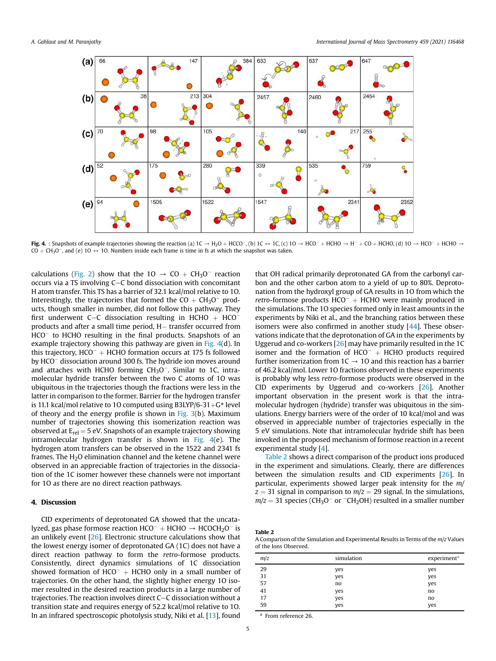

Fig. 4. : Snapshots of example trajectories showing the reaction (a)  $1C \rightarrow H_2O + HCO^-$ , (b)  $1C \leftrightarrow 1C$ , (c)  $1O \rightarrow HCO^- + HCHO \rightarrow H^- + CO + HCHO$ , (d)  $1O \rightarrow HCO^- + HCHO \rightarrow$  $CO + CH_3O^-$ , and (e)  $10 \leftrightarrow 10$ . Numbers inside each frame is time in fs at which the snapshot was taken.

calculations (Fig. 2) show that the  $10 \rightarrow CO + CH_3O^-$  reaction occurs via a TS involving C-C bond dissociation with concomitant H atom transfer. This TS has a barrier of 32.1 kcal/mol relative to 1O. Interestingly, the trajectories that formed the  $CO + CH_3O^-$  products, though smaller in number, did not follow this pathway. They first underwent C-C dissociation resulting in HCHO  $+$  HCO<sup>-</sup> products and after a small time period, H- transfer occurred from HCO<sup>-</sup> to HCHO resulting in the final products. Snapshots of an example trajectory showing this pathway are given in Fig. 4(d). In this trajectory,  $HCO^{-} + HCHO$  formation occurs at 175 fs followed by HCO<sup>-</sup> dissociation around 300 fs. The hydride ion moves around and attaches with HCHO forming  $CH<sub>3</sub>O<sup>-</sup>$ . Similar to 1C, intramolecular hydride transfer between the two C atoms of 1O was ubiquitous in the trajectories though the fractions were less in the latter in comparison to the former. Barrier for the hydrogen transfer is 11.1 kcal/mol relative to 10 computed using B3LYP/6-31+G\* level of theory and the energy profile is shown in Fig.  $3(b)$ . Maximum number of trajectories showing this isomerization reaction was observed at  $E_{rel}$  = 5 eV. Snapshots of an example trajectory showing intramolecular hydrogen transfer is shown in Fig. 4(e). The hydrogen atom transfers can be observed in the 1522 and 2341 fs frames. The  $H<sub>2</sub>O$  elimination channel and the ketene channel were observed in an appreciable fraction of trajectories in the dissociation of the 1C isomer however these channels were not important for 1O as there are no direct reaction pathways.

### 4. Discussion

CID experiments of deprotonated GA showed that the uncatalyzed, gas phase formose reaction  $HCO^{-} + HCHO \rightarrow HCOCH_{2}O^{-}$  is an unlikely event [26]. Electronic structure calculations show that the lowest energy isomer of deprotonated GA (1C) does not have a direct reaction pathway to form the *retro*-formose products. Consistently, direct dynamics simulations of 1C dissociation showed formation of  $HCO^{-}$  + HCHO only in a small number of trajectories. On the other hand, the slightly higher energy 1O isomer resulted in the desired reaction products in a large number of trajectories. The reaction involves direct C-C dissociation without a transition state and requires energy of 52.2 kcal/mol relative to 1O. In an infrared spectroscopic photolysis study, Niki et al. [13], found that OH radical primarily deprotonated GA from the carbonyl carbon and the other carbon atom to a yield of up to 80%. Deprotonation from the hydroxyl group of GA results in 1O from which the  $retro$ -formose products  $HCO^{-}$  + HCHO were mainly produced in the simulations. The 1O species formed only in least amounts in the experiments by Niki et al., and the branching ratios between these isomers were also confirmed in another study [44]. These observations indicate that the deprotonation of GA in the experiments by Uggerud and co-workers [26] may have primarily resulted in the 1C isomer and the formation of  $HCO^{-}$  + HCHO products required further isomerization from  $1C \rightarrow 1O$  and this reaction has a barrier of 46.2 kcal/mol. Lower 1O fractions observed in these experiments is probably why less *retro*-formose products were observed in the CID experiments by Uggerud and co-workers [26]. Another important observation in the present work is that the intramolecular hydrogen (hydride) transfer was ubiquitous in the simulations. Energy barriers were of the order of 10 kcal/mol and was observed in appreciable number of trajectories especially in the 5 eV simulations. Note that intramolecular hydride shift has been invoked in the proposed mechanism of formose reaction in a recent experimental study [4].

Table 2 shows a direct comparison of the product ions produced in the experiment and simulations. Clearly, there are differences between the simulation results and CID experiments [26]. In particular, experiments showed larger peak intensity for the *m/*  $z = 31$  signal in comparison to  $m/z = 29$  signal. In the simulations,  $m/z = 31$  species (CH<sub>3</sub>O<sup>-</sup> or <sup>-</sup>CH<sub>2</sub>OH) resulted in a smaller number

Table 2

A Comparison of the Simulation and Experimental Results in Terms of the *m/z* Values of the Ions Observed.

| m/z | simulation | experiment <sup>a</sup> |
|-----|------------|-------------------------|
| 29  | yes        | yes                     |
| 31  | yes        | yes                     |
| 57  | no         | yes                     |
| 41  | yes        | no                      |
| 17  | yes        | no                      |
| 59  | yes        | yes                     |

a From reference 26.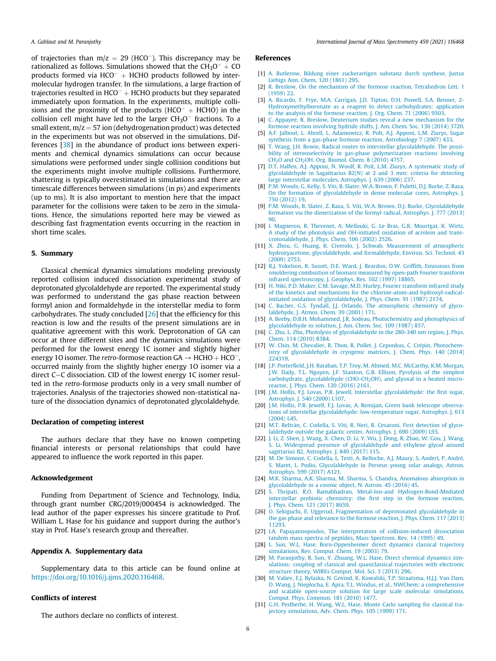of trajectories than  $m/z = 29$  (HCO<sup>-</sup>). This discrepancy may be rationalized as follows. Simulations showed that the  $CH_3O^- + CO$ products formed via  $HCO^{-}$  + HCHO products followed by intermolecular hydrogen transfer. In the simulations, a large fraction of trajectories resulted in  $HCO^- + HCHO$  products but they separated immediately upon formation. In the experiments, multiple collisions and the proximity of the products ( $HCO^{-}$  +  $HCHO$ ) in the collision cell might have led to the larger  $CH<sub>3</sub>O<sup>-</sup>$  fractions. To a small extent,  $m/z = 57$  ion (dehydrogenation product) was detected in the experiments but was not observed in the simulations. Differences [38] in the abundance of product ions between experiments and chemical dynamics simulations can occur because simulations were performed under single collision conditions but the experiments might involve multiple collisions. Furthermore, shattering is typically overestimated in simulations and there are timescale differences between simulations (in ps) and experiments (up to ms). It is also important to mention here that the impact parameter for the collisions were taken to be zero in the simulations. Hence, the simulations reported here may be viewed as describing fast fragmentation events occurring in the reaction in short time scales.

#### 5. Summary

Classical chemical dynamics simulations modeling previously reported collision induced dissociation experimental study of deprotonated glycolaldehyde are reported. The experimental study was performed to understand the gas phase reaction between formyl anion and formaldehyde in the interstellar media to form carbohydrates. The study concluded  $[26]$  that the efficiency for this reaction is low and the results of the present simulations are in qualitative agreement with this work. Deprotonation of GA can occur at three different sites and the dynamics simulations were performed for the lowest energy 1C isomer and slightly higher energy 10 isomer. The *retro-formose reaction*  $GA \rightarrow HCHO + HCO^{-}$ , occurred mainly from the slightly higher energy 1O isomer via a direct C-C dissociation. CID of the lowest energy 1C isomer resulted in the *retro*-formose products only in a very small number of trajectories. Analysis of the trajectories showed non-statistical nature of the dissociation dynamics of deprotonated glycolaldehyde.

#### Declaration of competing interest

The authors declare that they have no known competing financial interests or personal relationships that could have appeared to influence the work reported in this paper.

#### Acknowledgement

Funding from Department of Science and Technology, India, through grant number CRG/2019/000454 is acknowledged. The lead author of the paper expresses his sincere gratitude to Prof. William L. Hase for his guidance and support during the author's stay in Prof. Hase's research group and thereafter.

#### Appendix A. Supplementary data

Supplementary data to this article can be found online at https://doi.org/10.1016/j.ijms.2020.116468.

#### Conflicts of interest

The authors declare no conflicts of interest.

#### References

- [1] A. Butlerow, Bildung einer zuckerartigen substanz durch synthese, Justus Liebigs Ann. Chem. 120 (1861) 295.
- [2] R. Breslow, On the mechanism of the formose reaction, Tetrahedron Lett. 1 (1959) 22.
- [3] A. Ricardo, F. Frye, M.A. Carrigan, J.D. Tipton, D.H. Powell, S.A. Benner, 2- Hydroxymethylboronate as a reagent to detect carbohydrates: application to the analysis of the formose reaction, J. Org. Chem. 71 (2006) 9503.
- [4] C. Appayee, R. Breslow, Deuterium studies reveal a new mechanism for the formose reaction involving hydride shifts, J. Am. Chem. Soc. 136 (2014) 3720.
- [5] A.F. Jalbout, L. Abrell, L. Adamowicz, R. Polt, A.J. Apponi, L.M. Ziurys, Sugar synthesis from a gas-phase formose reaction, Astrobiology 7 (2007) 433.
- [6] T. Wang, J.H. Bowie, Radical routes to interstellar glycolaldehyde. The possibility of stereoselectivity in gas-phase polymerization reactions involving  $CH<sub>2</sub>O$  and CH<sub>2</sub>OH. Org. Biomol. Chem. 8 (2010) 4757.
- [7] D.T. Halfen, A.J. Apponi, N. Woolf, R. Polt, L.M. Ziurys, A systematic study of glycolaldehyde in Sagaittarius B2(N) at 2 and 3 mm: criteria for detecting large interstellar molecules, Astrophys. J. 639 (2006) 237.
- [8] P.M. Woods, G. Kelly, S. Viti, B. Slater, W.A. Brown, F. Puletti, D.J. Burke, Z. Raza, On the formation of glycolaldehyde in dense molecular cores, Astrophys. J. 750 (2012) 19.
- [9] P.M. Woods, B. Slater, Z. Raza, S. Viti, W.A. Brown, D.J. Burke, Glycolaldehyde formation via the dimerization of the formyl radical, Astrophys. J. 777 (2013) 90.
- [10] I. Magneron, R. Thevenet, A. Mellouki, G. Le Bras, G.K. Moortgat, K. Wirtz, A study of the photolysis and OH-initiated oxidation of acrolein and transcrotonaldehyde, J. Phys. Chem. 106 (2002) 2526.
- [11] X. Zhou, G. Huang, K. Civerolo, J. Schwab, Measurement of atmospheric hydroxyacetone, glycolaldehyde, and formaldehyde, Environ. Sci. Technol. 43 (2009) 2753.
- [12] R.J. Yokelson, R. Susott, D.E. Ward, J. Reardon, D.W. Griffith, Emissions from smoldering combustion of biomass measured by open-path Fourier transform infrared spectroscopy, J. Geophys. Res. 102 (1997) 18865.
- [13] H. Niki, P.D. Maker, C.M. Savage, M.D. Hurley, Fourier transform infrared study of the kinetics and mechanisms for the chlorine-atom-and hydroxyl-radicalinitiated oxidation of glycolaldehyde, J. Phys. Chem. 91 (1987) 2174.
- [14] C. Bacher, G.S. Tyndall, J.J. Orlando, The atmospheric chemistry of glycolaldehyde, J. Atmos. Chem. 39 (2001) 171.
- [15] A. Beeby, D.B.H. Mohammed, J.R. Sodeau, Photochemistry and photophysics of glycolaldehyde in solution, J. Am. Chem. Soc. 109 (1987) 857.
- [16] C. Zhu, L. Zhu, Photolysis of glycolaldehyde in the 280-340 nm region, J. Phys. Chem. 114 (2010) 8384.
- [17] W. Chin, M. Chevalier, R. Thon, R. Pollet, J. Ceponkus, C. Crepin, Photochem istry of glycolaldehyde in cryogenic matrices, J. Chem. Phys. 140 (2014) 224319.
- [18] J.P. Porterfield, J.H. Baraban, T.P. Troy, M. Ahmed, M.C. McCarthy, K.M. Morgan, J.W. Daily, T.L. Nguyen, J.F. Stanton, G.B. Ellison, Pyrolysis of the simplest carbohydrate, glycolaldehyde (CHO-CH<sub>2</sub>OH), and glyoxal in a heated microreactor, J. Phys. Chem. 120 (2016) 2161.
- [19] J.M. Hollis, F.J. Lovas, P.R. Jewell, Interstellar glycolaldehyde: the first sugar, Astrophys. J. 540 (2000) L107.
- [20] J.M. Hollis, P.R. Jewell, F.J. Lovas, A. Remijan, Green bank telescope observations of interstellar glycolaldehyde: low-temperature sugar, Astrophys. J. 613 (2004) L45.
- [21] M.T. Beltrán, C. Codella, S. Viti, R. Neri, R. Cesaroni, First detection of glycolaldehyde outside the galactic center, Astrophys. J. 690 (2009) L93.
- [22] J. Li, Z. Shen, J. Wang, X. Chen, D. Li, Y. Wu, J. Dong, R. Zhao, W. Gou, J. Wang, S. Li, Widespread presence of glycolaldehyde and ethylene glycol around sagittarius B2, Astrophys. J. 849 (2017) 115.
- [23] M. De Simone, C. Codella, L. Testi, A. Belloche, A.J. Maury, S. Anderl, P. Andre, S. Maret, L. Podio, Glycolaldehyde in Perseus young solar analogs, Astron. Astrophys. 599 (2017) A121.
- [24] M.K. Sharma, A.K. Sharma, M. Sharma, S. Chandra, Anomalous absorption in glycolaldehyde in a cosmic object, N. Astron. 45 (2016) 45.
- [25] S. Thripati, R.O. Ramabhadran, Metal-Ion-and Hydrogen-Bond-Mediated interstellar prebiotic chemistry: the first step in the formose reaction, J. Phys. Chem. 121 (2017) 8659.
- [26] O. Sekiguchi, E. Uggerud, Fragmentation of deprotonated glycolaldehyde in the gas phase and relevance to the formose reaction, J. Phys. Chem. 117 (2013) 11293.
- [27] I.A. Papayannopoulos, The interpretation of collision-induced dissociation tandem mass spectra of peptides, Mass Spectrom. Rev. 14 (1995) 49.
- [28] L. Sun, W.L. Hase, Born-Oppenheimer direct dynamics classical trajectory simulations, Rev. Comput. Chem. 19 (2003) 79.
- [29] M. Paranjothy, R. Sun, Y. Zhuang, W.L. Hase, Direct chemical dynamics simulations: coupling of classical and quasiclassical trajectories with electronic structure theory, WIREs Comput. Mol. Sci. 3 (2013) 296.
- [30] M. Valiev, E.J. Bylaska, N. Govind, K. Kowalski, T.P. Straatsma, H.J.J. Van Dam, D. Wang, J. Nieplocha, E. Apra, T.L. Windus, et al., NWChem: a comprehensive and scalable open-source solution for large scale molecular simulations, Comput. Phys. Commun. 181 (2010) 1477.
- [31] G.H. Peslherbe, H. Wang, W.L. Hase, Monte Carlo sampling for classical trajectory simulations, Adv. Chem. Phys. 105 (1999) 171.